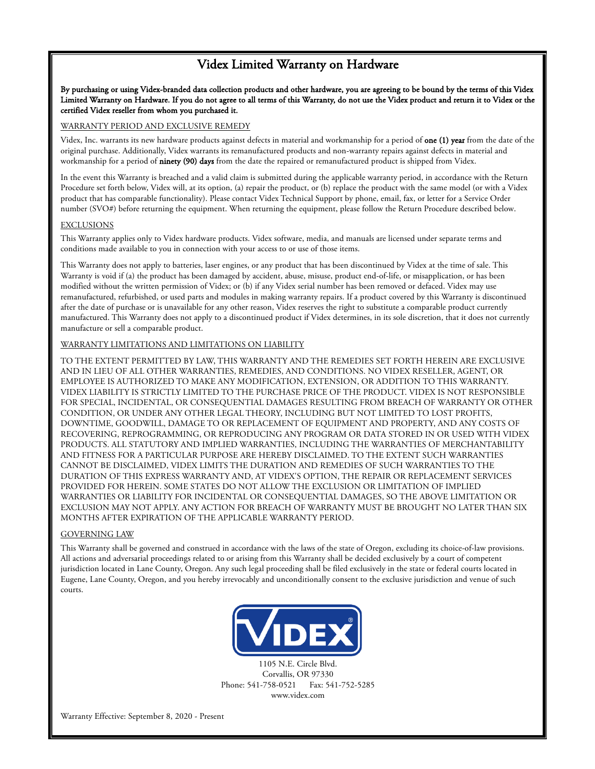## Videx Limited Warranty on Hardware

By purchasing or using Videx-branded data collection products and other hardware, you are agreeing to be bound by the terms of this Videx Limited Warranty on Hardware. If you do not agree to all terms of this Warranty, do not use the Videx product and return it to Videx or the certified Videx reseller from whom you purchased it.

#### WARRANTY PERIOD AND EXCLUSIVE REMEDY

Videx, Inc. warrants its new hardware products against defects in material and workmanship for a period of one (1) year from the date of the original purchase. Additionally, Videx warrants its remanufactured products and non-warranty repairs against defects in material and workmanship for a period of ninety (90) days from the date the repaired or remanufactured product is shipped from Videx.

In the event this Warranty is breached and a valid claim is submitted during the applicable warranty period, in accordance with the Return Procedure set forth below, Videx will, at its option, (a) repair the product, or (b) replace the product with the same model (or with a Videx product that has comparable functionality). Please contact Videx Technical Support by phone, email, fax, or letter for a Service Order number (SVO#) before returning the equipment. When returning the equipment, please follow the Return Procedure described below.

#### **EXCLUSIONS**

This Warranty applies only to Videx hardware products. Videx software, media, and manuals are licensed under separate terms and conditions made available to you in connection with your access to or use of those items.

This Warranty does not apply to batteries, laser engines, or any product that has been discontinued by Videx at the time of sale. This Warranty is void if (a) the product has been damaged by accident, abuse, misuse, product end-of-life, or misapplication, or has been modified without the written permission of Videx; or (b) if any Videx serial number has been removed or defaced. Videx may use remanufactured, refurbished, or used parts and modules in making warranty repairs. If a product covered by this Warranty is discontinued after the date of purchase or is unavailable for any other reason, Videx reserves the right to substitute a comparable product currently manufactured. This Warranty does not apply to a discontinued product if Videx determines, in its sole discretion, that it does not currently manufacture or sell a comparable product.

#### WARRANTY LIMITATIONS AND LIMITATIONS ON LIABILITY

TO THE EXTENT PERMITTED BY LAW, THIS WARRANTY AND THE REMEDIES SET FORTH HEREIN ARE EXCLUSIVE AND IN LIEU OF ALL OTHER WARRANTIES, REMEDIES, AND CONDITIONS. NO VIDEX RESELLER, AGENT, OR EMPLOYEE IS AUTHORIZED TO MAKE ANY MODIFICATION, EXTENSION, OR ADDITION TO THIS WARRANTY. VIDEX LIABILITY IS STRICTLY LIMITED TO THE PURCHASE PRICE OF THE PRODUCT. VIDEX IS NOT RESPONSIBLE FOR SPECIAL, INCIDENTAL, OR CONSEQUENTIAL DAMAGES RESULTING FROM BREACH OF WARRANTY OR OTHER CONDITION, OR UNDER ANY OTHER LEGAL THEORY, INCLUDING BUT NOT LIMITED TO LOST PROFITS, DOWNTIME, GOODWILL, DAMAGE TO OR REPLACEMENT OF EQUIPMENT AND PROPERTY, AND ANY COSTS OF RECOVERING, REPROGRAMMING, OR REPRODUCING ANY PROGRAM OR DATA STORED IN OR USED WITH VIDEX PRODUCTS. ALL STATUTORY AND IMPLIED WARRANTIES, INCLUDING THE WARRANTIES OF MERCHANTABILITY AND FITNESS FOR A PARTICULAR PURPOSE ARE HEREBY DISCLAIMED. TO THE EXTENT SUCH WARRANTIES CANNOT BE DISCLAIMED, VIDEX LIMITS THE DURATION AND REMEDIES OF SUCH WARRANTIES TO THE DURATION OF THIS EXPRESS WARRANTY AND, AT VIDEX'S OPTION, THE REPAIR OR REPLACEMENT SERVICES PROVIDED FOR HEREIN. SOME STATES DO NOT ALLOW THE EXCLUSION OR LIMITATION OF IMPLIED WARRANTIES OR LIABILITY FOR INCIDENTAL OR CONSEQUENTIAL DAMAGES, SO THE ABOVE LIMITATION OR EXCLUSION MAY NOT APPLY. ANY ACTION FOR BREACH OF WARRANTY MUST BE BROUGHT NO LATER THAN SIX MONTHS AFTER EXPIRATION OF THE APPLICABLE WARRANTY PERIOD.

#### GOVERNING LAW

This Warranty shall be governed and construed in accordance with the laws of the state of Oregon, excluding its choice-of-law provisions. All actions and adversarial proceedings related to or arising from this Warranty shall be decided exclusively by a court of competent jurisdiction located in Lane County, Oregon. Any such legal proceeding shall be filed exclusively in the state or federal courts located in Eugene, Lane County, Oregon, and you hereby irrevocably and unconditionally consent to the exclusive jurisdiction and venue of such courts.



1105 N.E. Circle Blvd. Corvallis, OR 97330 Phone: 541-758-0521 Fax: 541-752-5285 www.videx.com

Warranty Effective: September 8, 2020 - Present